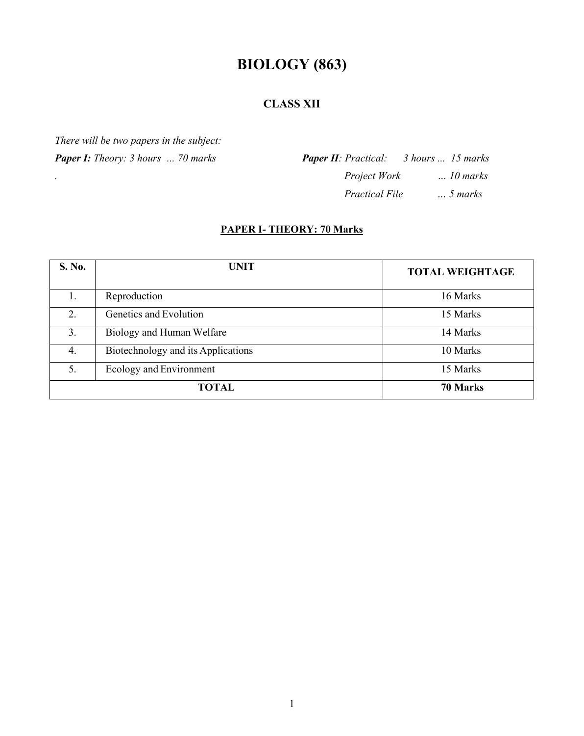# **BIOLOGY (863)**

# **CLASS XII**

*There will be two papers in the subject:*

*Paper I: Theory: 3 hours ... 70 marks*

*.*

*Paper II: Practical: 3 hours ... 15 marks Project Work … 10 marks Practical File … 5 marks*

# **PAPER I- THEORY: 70 Marks**

| S. No.           | <b>UNIT</b>                        | <b>TOTAL WEIGHTAGE</b> |
|------------------|------------------------------------|------------------------|
|                  | Reproduction                       | 16 Marks               |
| $\overline{2}$ . | Genetics and Evolution             | 15 Marks               |
| 3.               | Biology and Human Welfare          | 14 Marks               |
| 4.               | Biotechnology and its Applications | 10 Marks               |
| 5.               | Ecology and Environment            | 15 Marks               |
| <b>TOTAL</b>     |                                    | 70 Marks               |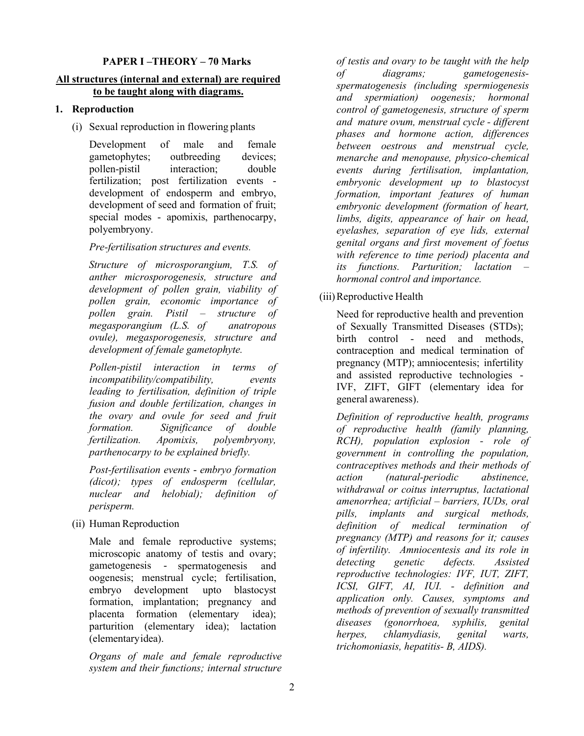#### **PAPER I –THEORY – 70 Marks**

#### **All structures (internal and external) are required to be taught along with diagrams.**

#### **1. Reproduction**

(i) Sexual reproduction in flowering plants

Development of male and female gametophytes; outbreeding devices; pollen-pistil interaction; double fertilization; post fertilization events development of endosperm and embryo, development of seed and formation of fruit; special modes - apomixis, parthenocarpy, polyembryony.

*Pre-fertilisation structures and events.*

*Structure of microsporangium, T.S. of anther microsporogenesis, structure and development of pollen grain, viability of pollen grain, economic importance of pollen grain. Pistil – structure of megasporangium (L.S. of anatropous ovule), megasporogenesis, structure and development of female gametophyte.*

*Pollen-pistil interaction in terms of incompatibility/compatibility, events leading to fertilisation, definition of triple fusion and double fertilization, changes in the ovary and ovule for seed and fruit formation. Significance of double fertilization. Apomixis, polyembryony, parthenocarpy to be explained briefly.* 

*Post-fertilisation events* - *embryo formation (dicot); types of endosperm (cellular, nuclear and helobial); definition of perisperm.*

(ii) Human Reproduction

Male and female reproductive systems; microscopic anatomy of testis and ovary; gametogenesis - spermatogenesis and oogenesis; menstrual cycle; fertilisation, embryo development upto blastocyst formation, implantation; pregnancy and placenta formation (elementary idea); parturition (elementary idea); lactation (elementaryidea).

*Organs of male and female reproductive system and their functions; internal structure* 

*of testis and ovary to be taught with the help of diagrams; gametogenesisspermatogenesis (including spermiogenesis and spermiation) oogenesis; hormonal control of gametogenesis, structure of sperm and mature ovum, menstrual cycle - different phases and hormone action, differences between oestrous and menstrual cycle, menarche and menopause, physico-chemical events during fertilisation, implantation, embryonic development up to blastocyst formation, important features of human embryonic development (formation of heart, limbs, digits, appearance of hair on head, eyelashes, separation of eye lids, external genital organs and first movement of foetus with reference to time period) placenta and its functions. Parturition; lactation – hormonal control and importance.*

#### (iii)Reproductive Health

Need for reproductive health and prevention of Sexually Transmitted Diseases (STDs); birth control - need and methods, contraception and medical termination of pregnancy (MTP); amniocentesis; infertility and assisted reproductive technologies - IVF, ZIFT, GIFT (elementary idea for general awareness).

*Definition of reproductive health, programs of reproductive health (family planning, RCH), population explosion - role of government in controlling the population, contraceptives methods and their methods of action (natural-periodic abstinence, withdrawal or coitus interruptus, lactational amenorrhea; artificial – barriers, IUDs, oral pills, implants and surgical methods, definition of medical termination of pregnancy (MTP) and reasons for it; causes of infertility. Amniocentesis and its role in detecting genetic defects. Assisted reproductive technologies: IVF, IUT, ZIFT, ICSI, GIFT, AI, IUI. - definition and application only. Causes, symptoms and methods of prevention of sexually transmitted diseases (gonorrhoea, syphilis, genital herpes, chlamydiasis, genital warts, trichomoniasis, hepatitis- B, AIDS).*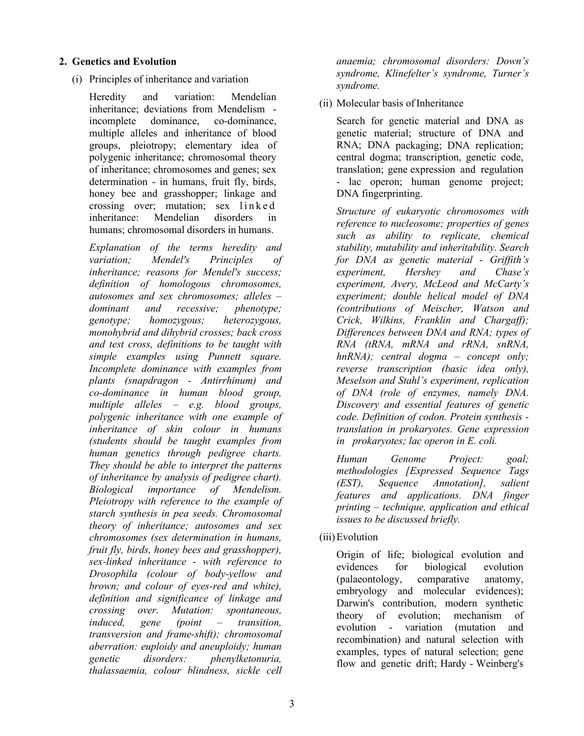#### **2. Genetics and Evolution**

(i) Principles of inheritance and variation

Heredity and variation: Mendelian inheritance; deviations from Mendelism incomplete dominance, co-dominance, multiple alleles and inheritance of blood groups, pleiotropy; elementary idea of polygenic inheritance; chromosomal theory of inheritance; chromosomes and genes; sex determination - in humans, fruit fly, birds, honey bee and grasshopper; linkage and crossing over; mutation; sex linked inheritance: Mendelian disorders in humans; chromosomal disorders in humans.

*Explanation of the terms heredity and variation; Mendel's Principles of inheritance; reasons for Mendel's success; definition of homologous chromosomes, autosomes and sex chromosomes; alleles – dominant and recessive; phenotype; genotype; homozygous; heterozygous, monohybrid and dihybrid crosses; back cross and test cross, definitions to be taught with simple examples using Punnett square. Incomplete dominance with examples from plants (snapdragon - Antirrhinum) and co-dominance in human blood group, multiple alleles – e.g. blood groups, polygenic inheritance with one example of inheritance of skin colour in humans (students should be taught examples from human genetics through pedigree charts. They should be able to interpret the patterns of inheritance by analysis of pedigree chart). Biological importance of Mendelism. Pleiotropy with reference to the example of starch synthesis in pea seeds. Chromosomal theory of inheritance; autosomes and sex chromosomes (sex determination in humans, fruit fly, birds, honey bees and grasshopper), sex-linked inheritance - with reference to Drosophila (colour of body-yellow and brown; and colour of eyes-red and white), definition and significance of linkage and crossing over. Mutation: spontaneous, induced, gene (point – transition, transversion and frame-shift); chromosomal aberration: euploidy and aneuploidy; human genetic disorders: phenylketonuria, thalassaemia, colour blindness, sickle cell* 

*anaemia; chromosomal disorders: Down's syndrome, Klinefelter's syndrome, Turner's syndrome.*

(ii) Molecular basis of Inheritance

Search for genetic material and DNA as genetic material; structure of DNA and RNA; DNA packaging; DNA replication; central dogma; transcription, genetic code, translation; gene expression and regulation - lac operon; human genome project; DNA fingerprinting.

*Structure of eukaryotic chromosomes with reference to nucleosome; properties of genes such as ability to replicate, chemical stability, mutability and inheritability. Search for DNA as genetic material - Griffith's experiment, Hershey and Chase's experiment, Avery, McLeod and McCarty's experiment; double helical model of DNA (contributions of Meischer, Watson and Crick, Wilkins, Franklin and Chargaff); Differences between DNA and RNA; types of RNA (tRNA, mRNA and rRNA, snRNA, hnRNA); central dogma – concept only; reverse transcription (basic idea only), Meselson and Stahl's experiment, replication of DNA (role of enzymes, namely DNA. Discovery and essential features of genetic code. Definition of codon. Protein synthesis translation in prokaryotes. Gene expression in prokaryotes; lac operon in E. coli.* 

*Human Genome Project: goal; methodologies [Expressed Sequence Tags (EST), Sequence Annotation], salient features and applications. DNA finger printing – technique, application and ethical issues to be discussed briefly.* 

(iii)Evolution

Origin of life; biological evolution and evidences for biological evolution (palaeontology, comparative anatomy, embryology and molecular evidences); Darwin's contribution, modern synthetic theory of evolution; mechanism of evolution - variation (mutation and recombination) and natural selection with examples, types of natural selection; gene flow and genetic drift; Hardy - Weinberg's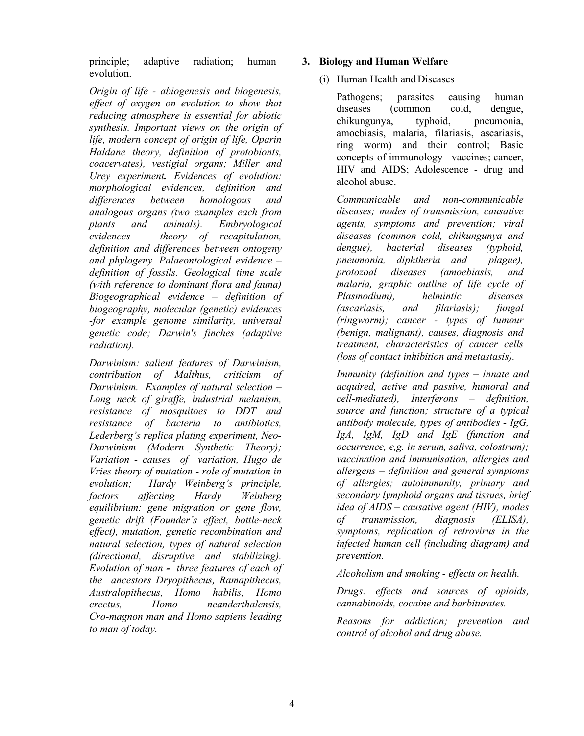principle; adaptive radiation; human evolution.

*Origin of life - abiogenesis and biogenesis, effect of oxygen on evolution to show that reducing atmosphere is essential for abiotic synthesis. Important views on the origin of life, modern concept of origin of life, Oparin Haldane theory, definition of protobionts, coacervates), vestigial organs; Miller and Urey experiment. Evidences of evolution: morphological evidences, definition and differences between homologous and analogous organs (two examples each from plants and animals). Embryological evidences – theory of recapitulation, definition and differences between ontogeny and phylogeny. Palaeontological evidence – definition of fossils. Geological time scale (with reference to dominant flora and fauna) Biogeographical evidence – definition of biogeography, molecular (genetic) evidences -for example genome similarity, universal genetic code; Darwin's finches (adaptive radiation).* 

*Darwinism: salient features of Darwinism, contribution of Malthus, criticism of Darwinism. Examples of natural selection – Long neck of giraffe, industrial melanism, resistance of mosquitoes to DDT and resistance of bacteria to antibiotics, Lederberg's replica plating experiment, Neo-Darwinism (Modern Synthetic Theory); Variation - causes of variation, Hugo de Vries theory of mutation - role of mutation in evolution; Hardy Weinberg's principle, factors affecting Hardy Weinberg equilibrium: gene migration or gene flow, genetic drift (Founder's effect, bottle-neck effect), mutation, genetic recombination and natural selection, types of natural selection (directional, disruptive and stabilizing). Evolution of man - three features of each of the ancestors Dryopithecus, Ramapithecus, Australopithecus, Homo habilis, Homo erectus, Homo neanderthalensis, Cro-magnon man and Homo sapiens leading to man of today.* 

## **3. Biology and Human Welfare**

# (i) Human Health and Diseases

Pathogens; parasites causing human diseases (common cold, dengue, chikungunya, typhoid, pneumonia, amoebiasis, malaria, filariasis, ascariasis, ring worm) and their control; Basic concepts of immunology - vaccines; cancer, HIV and AIDS; Adolescence - drug and alcohol abuse.

*Communicable and non-communicable diseases; modes of transmission, causative agents, symptoms and prevention; viral diseases (common cold, chikungunya and dengue), bacterial diseases (typhoid, pneumonia, diphtheria and plague), protozoal diseases (amoebiasis, and malaria, graphic outline of life cycle of Plasmodium), helmintic diseases (ascariasis, and filariasis); fungal (ringworm); cancer - types of tumour (benign, malignant), causes, diagnosis and treatment, characteristics of cancer cells (loss of contact inhibition and metastasis).*

*Immunity (definition and types – innate and acquired, active and passive, humoral and cell-mediated), Interferons – definition, source and function; structure of a typical antibody molecule, types of antibodies - IgG, IgA, IgM, IgD and IgE (function and occurrence, e,g. in serum, saliva, colostrum); vaccination and immunisation, allergies and allergens – definition and general symptoms of allergies; autoimmunity, primary and secondary lymphoid organs and tissues, brief idea of AIDS – causative agent (HIV), modes of transmission, diagnosis (ELISA), symptoms, replication of retrovirus in the infected human cell (including diagram) and prevention.*

*Alcoholism and smoking - effects on health.*

*Drugs: effects and sources of opioids, cannabinoids, cocaine and barbiturates.*

*Reasons for addiction; prevention and control of alcohol and drug abuse.*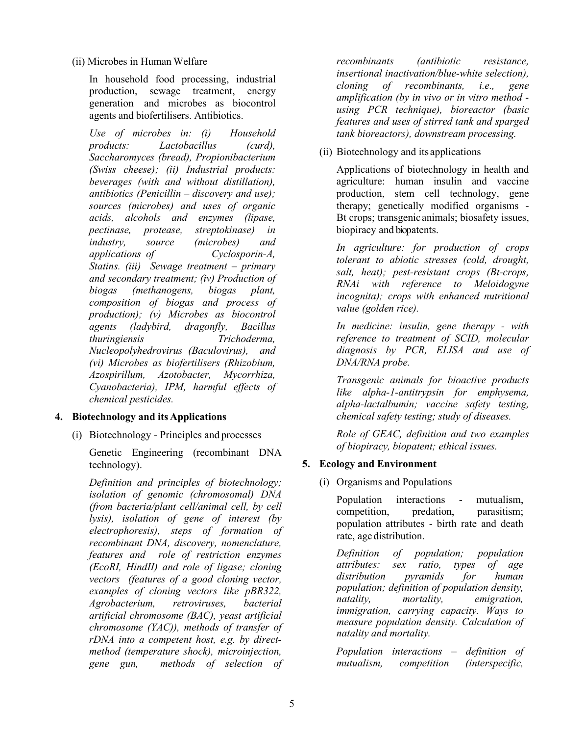(ii) Microbes in Human Welfare

In household food processing, industrial production, sewage treatment, energy generation and microbes as biocontrol agents and biofertilisers. Antibiotics.

*Use of microbes in: (i) Household products: Lactobacillus (curd), Saccharomyces (bread), Propionibacterium (Swiss cheese); (ii) Industrial products: beverages (with and without distillation), antibiotics (Penicillin – discovery and use); sources (microbes) and uses of organic acids, alcohols and enzymes (lipase, pectinase, protease, streptokinase) in industry, source (microbes) and applications of Cyclosporin-A, Statins. (iii) Sewage treatment – primary and secondary treatment; (iv) Production of biogas (methanogens, biogas plant, composition of biogas and process of production); (v) Microbes as biocontrol agents (ladybird, dragonfly, Bacillus thuringiensis Trichoderma, Nucleopolyhedrovirus (Baculovirus), and (vi) Microbes as biofertilisers (Rhizobium, Azospirillum, Azotobacter, Mycorrhiza, Cyanobacteria), IPM, harmful effects of chemical pesticides.*

## **4. Biotechnology and its Applications**

(i) Biotechnology - Principles and processes

Genetic Engineering (recombinant DNA technology).

*Definition and principles of biotechnology; isolation of genomic (chromosomal) DNA (from bacteria/plant cell/animal cell, by cell lysis), isolation of gene of interest (by electrophoresis), steps of formation of recombinant DNA, discovery, nomenclature, features and role of restriction enzymes (EcoRI, HindII) and role of ligase; cloning vectors (features of a good cloning vector, examples of cloning vectors like pBR322, Agrobacterium, retroviruses, bacterial artificial chromosome (BAC), yeast artificial chromosome (YAC)), methods of transfer of rDNA into a competent host, e.g. by directmethod (temperature shock), microinjection, gene gun, methods of selection of* 

*recombinants (antibiotic resistance, insertional inactivation/blue-white selection), cloning of recombinants, i.e., gene amplification (by in vivo or in vitro method using PCR technique), bioreactor (basic features and uses of stirred tank and sparged tank bioreactors), downstream processing.*

(ii) Biotechnology and its applications

Applications of biotechnology in health and agriculture: human insulin and vaccine production, stem cell technology, gene therapy; genetically modified organisms - Bt crops; transgenic animals; biosafety issues, biopiracy and biopatents.

*In agriculture: for production of crops tolerant to abiotic stresses (cold, drought, salt, heat); pest-resistant crops (Bt-crops, RNAi with reference to Meloidogyne incognita); crops with enhanced nutritional value (golden rice).*

*In medicine: insulin, gene therapy - with reference to treatment of SCID, molecular diagnosis by PCR, ELISA and use of DNA/RNA probe.*

*Transgenic animals for bioactive products like alpha-1-antitrypsin for emphysema, alpha-lactalbumin; vaccine safety testing, chemical safety testing; study of diseases.*

*Role of GEAC, definition and two examples of biopiracy, biopatent; ethical issues.*

## **5. Ecology and Environment**

(i) Organisms and Populations

Population interactions - mutualism, competition, predation, parasitism; population attributes - birth rate and death rate, age distribution.

*Definition of population; population attributes: sex ratio, types of age distribution pyramids for human population; definition of population density, natality, mortality, emigration, immigration, carrying capacity. Ways to measure population density. Calculation of natality and mortality.*

*Population interactions – definition of mutualism, competition (interspecific,*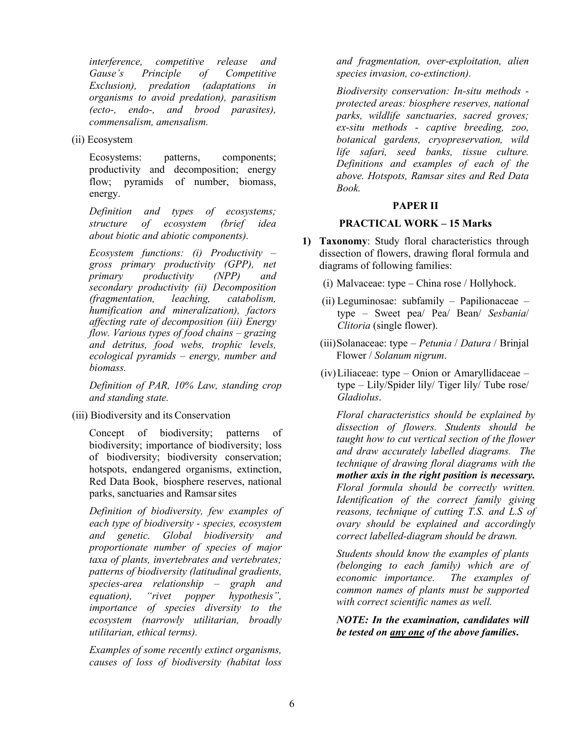*interference, competitive release and Principle of Competitive Exclusion), predation (adaptations in organisms to avoid predation), parasitism (ecto-, endo-, and brood parasites), commensalism, amensalism.*

(ii) Ecosystem

Ecosystems: patterns, components; productivity and decomposition; energy flow; pyramids of number, biomass, energy.

*Definition and types of ecosystems; structure of ecosystem (brief idea about biotic and abiotic components).*

*Ecosystem functions: (i) Productivity – gross primary productivity (GPP), net primary productivity (NPP) and secondary productivity (ii) Decomposition (fragmentation, leaching, catabolism, humification and mineralization), factors affecting rate of decomposition (iii) Energy flow. Various types of food chains – grazing and detritus, food webs, trophic levels, ecological pyramids – energy, number and biomass.*

*Definition of PAR, 10% Law, standing crop and standing state.*

(iii) Biodiversity and its Conservation

Concept of biodiversity; patterns of biodiversity; importance of biodiversity; loss of biodiversity; biodiversity conservation; hotspots, endangered organisms, extinction, Red Data Book, biosphere reserves, national parks, sanctuaries and Ramsarsites

*Definition of biodiversity, few examples of each type of biodiversity - species, ecosystem and genetic. Global biodiversity and proportionate number of species of major taxa of plants, invertebrates and vertebrates; patterns of biodiversity (latitudinal gradients, species-area relationship – graph and equation), "rivet popper hypothesis", importance of species diversity to the ecosystem (narrowly utilitarian, broadly utilitarian, ethical terms).*

*Examples of some recently extinct organisms, causes of loss of biodiversity (habitat loss*  *and fragmentation, over-exploitation, alien species invasion, co-extinction).* 

*Biodiversity conservation: In-situ methods protected areas: biosphere reserves, national parks, wildlife sanctuaries, sacred groves; ex-situ methods - captive breeding, zoo, botanical gardens, cryopreservation, wild life safari, seed banks, tissue culture. Definitions and examples of each of the above. Hotspots, Ramsar sites and Red Data Book.* 

#### **PAPER II**

#### **PRACTICAL WORK – 15 Marks**

- **1) Taxonomy**: Study floral characteristics through dissection of flowers, drawing floral formula and diagrams of following families:
	- (i) Malvaceae: type China rose / Hollyhock.
	- (ii) Leguminosae: subfamily Papilionaceae type – Sweet pea/ Pea/ Bean/ *Sesbania*/ *Clitoria* (single flower).
	- (iii)Solanaceae: type *Petunia* / *Datura* / Brinjal Flower / *Solanum nigrum*.
	- (iv)Liliaceae: type Onion or Amaryllidaceae type – Lily/Spider lily/ Tiger lily/ Tube rose/ *Gladiolus*.

*Floral characteristics should be explained by dissection of flowers. Students should be taught how to cut vertical section of the flower and draw accurately labelled diagrams. The technique of drawing floral diagrams with the mother axis in the right position is necessary. Floral formula should be correctly written. Identification of the correct family giving reasons, technique of cutting T.S. and L.S of ovary should be explained and accordingly correct labelled-diagram should be drawn.*

*Students should know the examples of plants (belonging to each family) which are of economic importance. The examples of common names of plants must be supported with correct scientific names as well.*

*NOTE: In the examination, candidates will be tested on any one of the above families***.**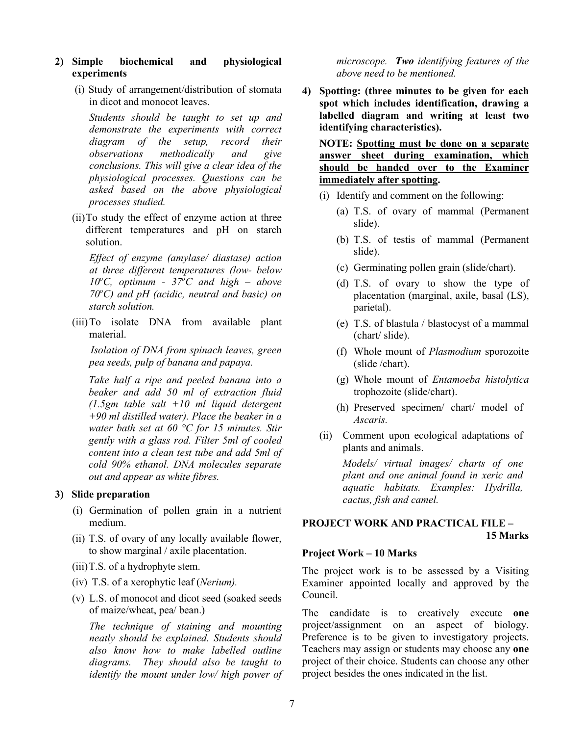#### **2) Simple biochemical and physiological experiments**

(i) Study of arrangement/distribution of stomata in dicot and monocot leaves.

*Students should be taught to set up and demonstrate the experiments with correct diagram of the setup, record their observations methodically and give conclusions. This will give a clear idea of the physiological processes. Questions can be asked based on the above physiological processes studied.*

(ii)To study the effect of enzyme action at three different temperatures and pH on starch solution.

*Effect of enzyme (amylase/ diastase) action at three different temperatures (low- below*   $10^{\circ}$ C, optimum -  $37^{\circ}$ C and high – above *70o C) and pH (acidic, neutral and basic) on starch solution.*

(iii)To isolate DNA from available plant material.

 *Isolation of DNA from spinach leaves, green pea seeds, pulp of banana and papaya.* 

*Take half a ripe and peeled banana into a beaker and add 50 ml of extraction fluid (1.5gm table salt +10 ml liquid detergent +90 ml distilled water). Place the beaker in a water bath set at 60 °C for 15 minutes. Stir gently with a glass rod. Filter 5ml of cooled content into a clean test tube and add 5ml of cold 90% ethanol. DNA molecules separate out and appear as white fibres.* 

#### **3) Slide preparation**

- (i) Germination of pollen grain in a nutrient medium.
- (ii) T.S. of ovary of any locally available flower, to show marginal / axile placentation.
- (iii)T.S. of a hydrophyte stem.
- (iv) T.S. of a xerophytic leaf (*Nerium).*
- (v) L.S. of monocot and dicot seed (soaked seeds of maize/wheat, pea/ bean.)

*The technique of staining and mounting neatly should be explained. Students should also know how to make labelled outline diagrams. They should also be taught to identify the mount under low/ high power of*  *microscope. Two identifying features of the above need to be mentioned.*

**4) Spotting: (three minutes to be given for each spot which includes identification, drawing a labelled diagram and writing at least two identifying characteristics).** 

**NOTE: Spotting must be done on a separate answer sheet during examination, which should be handed over to the Examiner immediately after spotting.** 

- (i) Identify and comment on the following:
	- (a) T.S. of ovary of mammal (Permanent slide).
	- (b) T.S. of testis of mammal (Permanent slide).
	- (c) Germinating pollen grain (slide/chart).
	- (d) T.S. of ovary to show the type of placentation (marginal, axile, basal (LS), parietal).
	- (e) T.S. of blastula / blastocyst of a mammal (chart/ slide).
	- (f) Whole mount of *Plasmodium* sporozoite (slide /chart).
	- (g) Whole mount of *Entamoeba histolytica* trophozoite (slide/chart).
	- (h) Preserved specimen/ chart/ model of *Ascaris.*
- (ii) Comment upon ecological adaptations of plants and animals.

*Models/ virtual images/ charts of one plant and one animal found in xeric and aquatic habitats. Examples: Hydrilla, cactus, fish and camel.*

# **PROJECT WORK AND PRACTICAL FILE – 15 Marks**

#### **Project Work – 10 Marks**

The project work is to be assessed by a Visiting Examiner appointed locally and approved by the Council.

The candidate is to creatively execute **one** project/assignment on an aspect of biology. Preference is to be given to investigatory projects. Teachers may assign or students may choose any **one** project of their choice. Students can choose any other project besides the ones indicated in the list.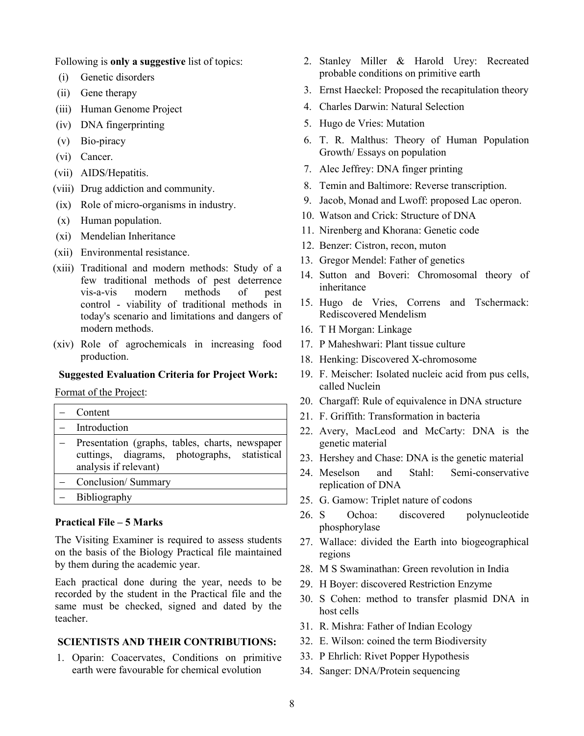Following is **only a suggestive** list of topics:

- (i) Genetic disorders
- (ii) Gene therapy
- (iii) Human Genome Project
- (iv) DNA fingerprinting
- (v) Bio-piracy
- (vi) Cancer.
- (vii) AIDS/Hepatitis.
- (viii) Drug addiction and community.
- (ix) Role of micro-organisms in industry.
- (x) Human population.
- (xi) Mendelian Inheritance
- (xii) Environmental resistance.
- (xiii) Traditional and modern methods: Study of a few traditional methods of pest deterrence vis-a-vis modern methods of control - viability of traditional methods in today's scenario and limitations and dangers of modern methods.
- (xiv) Role of agrochemicals in increasing food production.

#### **Suggested Evaluation Criteria for Project Work:**

Format of the Project:

- − Content − Introduction − Presentation (graphs, tables, charts, newspaper cuttings, diagrams, photographs, statistical analysis if relevant) − Conclusion/ Summary
- − Bibliography

#### **Practical File – 5 Marks**

The Visiting Examiner is required to assess students on the basis of the Biology Practical file maintained by them during the academic year.

Each practical done during the year, needs to be recorded by the student in the Practical file and the same must be checked, signed and dated by the teacher.

#### **SCIENTISTS AND THEIR CONTRIBUTIONS:**

1. Oparin: Coacervates, Conditions on primitive earth were favourable for chemical evolution

- 2. Stanley Miller & Harold Urey: Recreated probable conditions on primitive earth
- 3. Ernst Haeckel: Proposed the recapitulation theory
- 4. Charles Darwin: Natural Selection
- 5. Hugo de Vries: Mutation
- 6. T. R. Malthus: Theory of Human Population Growth/ Essays on population
- 7. Alec Jeffrey: DNA finger printing
- 8. Temin and Baltimore: Reverse transcription.
- 9. Jacob, Monad and Lwoff: proposed Lac operon.
- 10. Watson and Crick: Structure of DNA
- 11. Nirenberg and Khorana: Genetic code
- 12. Benzer: Cistron, recon, muton
- 13. Gregor Mendel: Father of genetics
- 14. Sutton and Boveri: Chromosomal theory of inheritance
- 15. Hugo de Vries, Correns and Tschermack: Rediscovered Mendelism
- 16. T H Morgan: Linkage
- 17. P Maheshwari: Plant tissue culture
- 18. Henking: Discovered X-chromosome
- 19. F. Meischer: Isolated nucleic acid from pus cells, called Nuclein
- 20. Chargaff: Rule of equivalence in DNA structure
- 21. F. Griffith: Transformation in bacteria
- 22. Avery, MacLeod and McCarty: DNA is the genetic material
- 23. Hershey and Chase: DNA is the genetic material
- 24. Meselson and Stahl: Semi-conservative replication of DNA
- 25. G. Gamow: Triplet nature of codons
- 26. S Ochoa: discovered polynucleotide phosphorylase
- 27. Wallace: divided the Earth into biogeographical regions
- 28. M S Swaminathan: Green revolution in India
- 29. H Boyer: discovered Restriction Enzyme
- 30. S Cohen: method to transfer plasmid DNA in host cells
- 31. R. Mishra: Father of Indian Ecology
- 32. E. Wilson: coined the term Biodiversity
- 33. P Ehrlich: Rivet Popper Hypothesis
- 34. Sanger: DNA/Protein sequencing